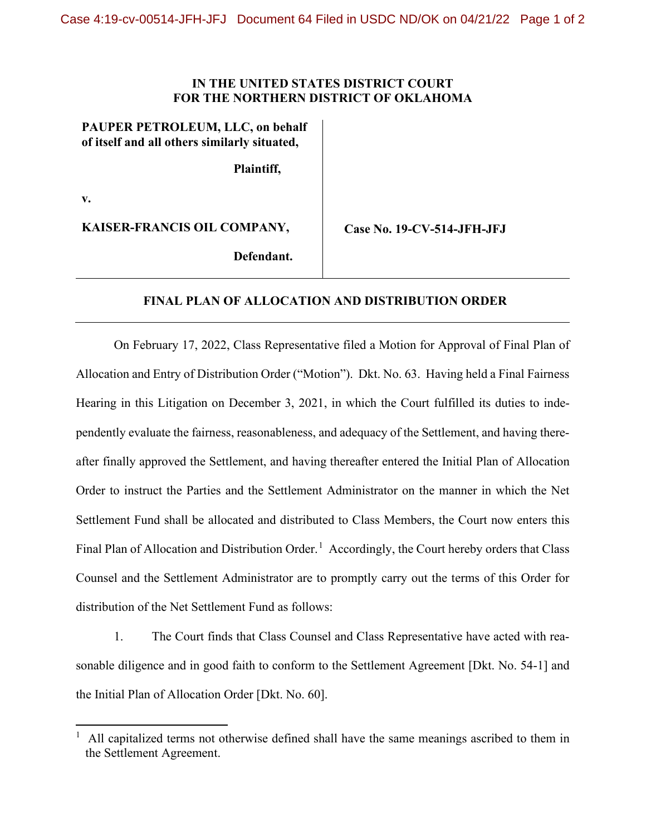## **IN THE UNITED STATES DISTRICT COURT FOR THE NORTHERN DISTRICT OF OKLAHOMA**

## **PAUPER PETROLEUM, LLC, on behalf of itself and all others similarly situated,**

**Plaintiff,**

**v.**

**KAISER-FRANCIS OIL COMPANY,**

 **Case No. 19-CV-514-JFH-JFJ**

**Defendant.**

## **FINAL PLAN OF ALLOCATION AND DISTRIBUTION ORDER**

On February 17, 2022, Class Representative filed a Motion for Approval of Final Plan of Allocation and Entry of Distribution Order ("Motion"). Dkt. No. 63. Having held a Final Fairness Hearing in this Litigation on December 3, 2021, in which the Court fulfilled its duties to independently evaluate the fairness, reasonableness, and adequacy of the Settlement, and having thereafter finally approved the Settlement, and having thereafter entered the Initial Plan of Allocation Order to instruct the Parties and the Settlement Administrator on the manner in which the Net Settlement Fund shall be allocated and distributed to Class Members, the Court now enters this Final Plan of Allocation and Distribution Order.<sup>[1](#page-0-0)</sup> Accordingly, the Court hereby orders that Class Counsel and the Settlement Administrator are to promptly carry out the terms of this Order for distribution of the Net Settlement Fund as follows:

1. The Court finds that Class Counsel and Class Representative have acted with reasonable diligence and in good faith to conform to the Settlement Agreement [Dkt. No. 54-1] and the Initial Plan of Allocation Order [Dkt. No. 60].

<span id="page-0-0"></span><sup>1</sup> All capitalized terms not otherwise defined shall have the same meanings ascribed to them in the Settlement Agreement.